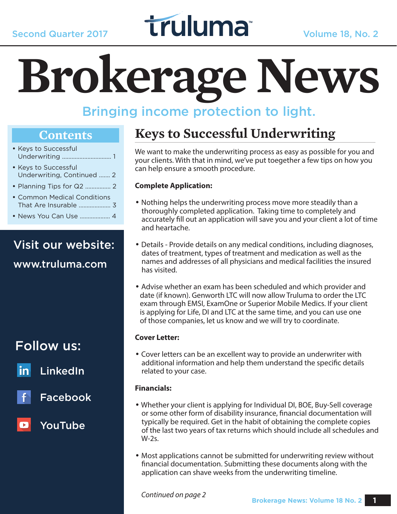# Second Quarter 2017 **Truluma** Volume 18, No. 2

# **Brokerage News**

## Bringing income protection to light.

#### **Contents**

- Keys to Successful Underwriting ............................... 1
- Keys to Successful Underwriting, Continued ....... 2
- Planning Tips for Q2 ................ 2
- Common Medical Conditions That Are Insurable .................... 3
- News You Can Use ................... 4

## Visit our website:

www.truluma.com

### Follow us:

LinkedIn

Facebook

#### YouTube

 $\bullet$ 

## **Keys to Successful Underwriting**

We want to make the underwriting process as easy as possible for you and your clients. With that in mind, we've put toegether a few tips on how you can help ensure a smooth procedure.

#### **Complete Application:**

- Nothing helps the underwriting process move more steadily than a thoroughly completed application. Taking time to completely and accurately fill out an application will save you and your client a lot of time and heartache.
- Details Provide details on any medical conditions, including diagnoses, dates of treatment, types of treatment and medication as well as the names and addresses of all physicians and medical facilities the insured has visited.
- Advise whether an exam has been scheduled and which provider and date (if known). Genworth LTC will now allow Truluma to order the LTC exam through EMSI, ExamOne or Superior Mobile Medics. If your client is applying for Life, DI and LTC at the same time, and you can use one of those companies, let us know and we will try to coordinate.

#### **Cover Letter:**

• Cover letters can be an excellent way to provide an underwriter with additional information and help them understand the specific details related to your case.

#### **Financials:**

- Whether your client is applying for Individual DI, BOE, Buy-Sell coverage or some other form of disability insurance, financial documentation will typically be required. Get in the habit of obtaining the complete copies of the last two years of tax returns which should include all schedules and W-2s.
- Most applications cannot be submitted for underwriting review without financial documentation. Submitting these documents along with the application can shave weeks from the underwriting timeline.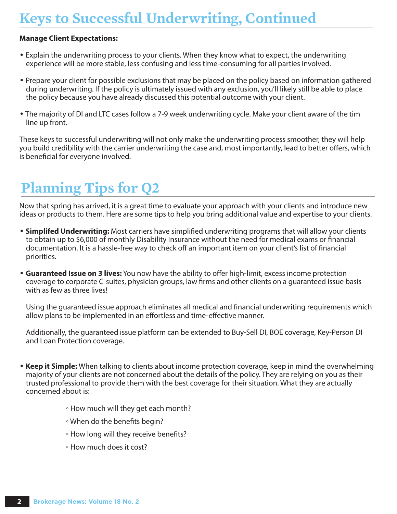## **Keys to Successful Underwriting, Continued**

#### **Manage Client Expectations:**

- Explain the underwriting process to your clients. When they know what to expect, the underwriting experience will be more stable, less confusing and less time-consuming for all parties involved.
- Prepare your client for possible exclusions that may be placed on the policy based on information gathered during underwriting. If the policy is ultimately issued with any exclusion, you'll likely still be able to place the policy because you have already discussed this potential outcome with your client.
- The majority of DI and LTC cases follow a 7-9 week underwriting cycle. Make your client aware of the tim line up front.

These keys to successful underwriting will not only make the underwriting process smoother, they will help you build credibility with the carrier underwriting the case and, most importantly, lead to better offers, which is beneficial for everyone involved.

## **Planning Tips for Q2**

Now that spring has arrived, it is a great time to evaluate your approach with your clients and introduce new ideas or products to them. Here are some tips to help you bring additional value and expertise to your clients.

- • **Simplifed Underwriting:** Most carriers have simplified underwriting programs that will allow your clients to obtain up to \$6,000 of monthly Disability Insurance without the need for medical exams or financial documentation. It is a hassle-free way to check off an important item on your client's list of financial priorities.
- **Guaranteed Issue on 3 lives:** You now have the ability to offer high-limit, excess income protection coverage to corporate C-suites, physician groups, law firms and other clients on a guaranteed issue basis with as few as three lives!

 Using the guaranteed issue approach eliminates all medical and financial underwriting requirements which allow plans to be implemented in an effortless and time-effective manner.

 Additionally, the guaranteed issue platform can be extended to Buy-Sell DI, BOE coverage, Key-Person DI and Loan Protection coverage.

- • **Keep it Simple:** When talking to clients about income protection coverage, keep in mind the overwhelming majority of your clients are not concerned about the details of the policy. They are relying on you as their trusted professional to provide them with the best coverage for their situation. What they are actually concerned about is:
	- How much will they get each month?
	- When do the benefits begin?
	- How long will they receive benefits?
	- How much does it cost?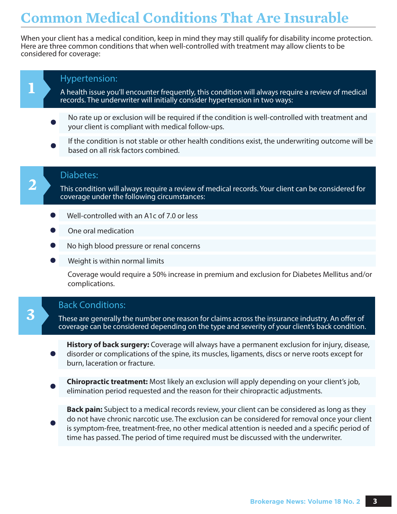## **Common Medical Conditions That Are Insurable**

When your client has a medical condition, keep in mind they may still qualify for disability income protection. Here are three common conditions that when well-controlled with treatment may allow clients to be considered for coverage:

#### Hypertension:

**1**

**2**

**3**

A health issue you'll encounter frequently, this condition will always require a review of medical records. The underwriter will initially consider hypertension in two ways:

- No rate up or exclusion will be required if the condition is well-controlled with treatment and your client is compliant with medical follow-ups.
- If the condition is not stable or other health conditions exist, the underwriting outcome will be based on all risk factors combined.

#### Diabetes:

This condition will always require a review of medical records. Your client can be considered for coverage under the following circumstances:

- Well-controlled with an A1c of 7.0 or less
- One oral medication
- No high blood pressure or renal concerns
- Weight is within normal limits

Coverage would require a 50% increase in premium and exclusion for Diabetes Mellitus and/or complications.

#### Back Conditions:

These are generally the number one reason for claims across the insurance industry. An offer of coverage can be considered depending on the type and severity of your client's back condition.

**History of back surgery:** Coverage will always have a permanent exclusion for injury, disease, disorder or complications of the spine, its muscles, ligaments, discs or nerve roots except for burn, laceration or fracture.

**Chiropractic treatment:** Most likely an exclusion will apply depending on your client's job, elimination period requested and the reason for their chiropractic adjustments.

**Back pain:** Subject to a medical records review, your client can be considered as long as they do not have chronic narcotic use. The exclusion can be considered for removal once your client is symptom-free, treatment-free, no other medical attention is needed and a specific period of time has passed. The period of time required must be discussed with the underwriter.